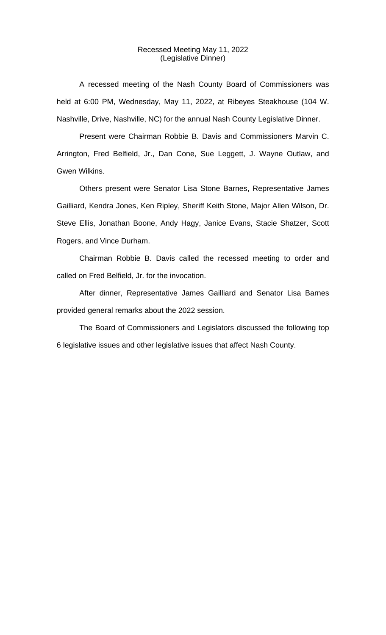#### Recessed Meeting May 11, 2022 (Legislative Dinner)

A recessed meeting of the Nash County Board of Commissioners was held at 6:00 PM, Wednesday, May 11, 2022, at Ribeyes Steakhouse (104 W. Nashville, Drive, Nashville, NC) for the annual Nash County Legislative Dinner.

Present were Chairman Robbie B. Davis and Commissioners Marvin C. Arrington, Fred Belfield, Jr., Dan Cone, Sue Leggett, J. Wayne Outlaw, and Gwen Wilkins.

Others present were Senator Lisa Stone Barnes, Representative James Gailliard, Kendra Jones, Ken Ripley, Sheriff Keith Stone, Major Allen Wilson, Dr. Steve Ellis, Jonathan Boone, Andy Hagy, Janice Evans, Stacie Shatzer, Scott Rogers, and Vince Durham.

Chairman Robbie B. Davis called the recessed meeting to order and called on Fred Belfield, Jr. for the invocation.

After dinner, Representative James Gailliard and Senator Lisa Barnes provided general remarks about the 2022 session.

The Board of Commissioners and Legislators discussed the following top 6 legislative issues and other legislative issues that affect Nash County.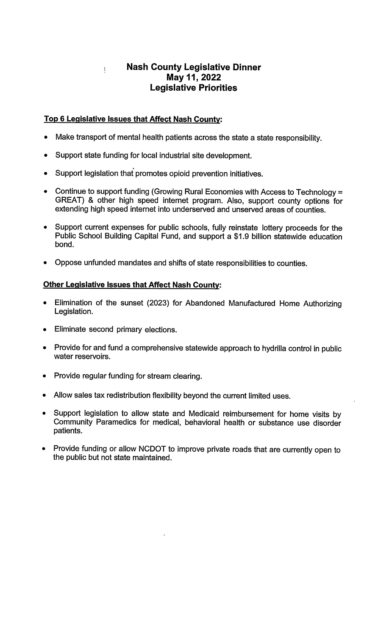# **Nash County Legislative Dinner** May 11, 2022 **Legislative Priorities**

#### Top 6 Legislative Issues that Affect Nash County:

 $\mathbf{I}$ 

- Make transport of mental health patients across the state a state responsibility.
- Support state funding for local industrial site development.
- Support legislation that promotes opioid prevention initiatives.
- Continue to support funding (Growing Rural Economies with Access to Technology =  $\bullet$ GREAT) & other high speed internet program. Also, support county options for extending high speed internet into underserved and unserved areas of counties.
- Support current expenses for public schools, fully reinstate lottery proceeds for the Public School Building Capital Fund, and support a \$1.9 billion statewide education bond.
- Oppose unfunded mandates and shifts of state responsibilities to counties.

## **Other Legislative Issues that Affect Nash County:**

- Elimination of the sunset (2023) for Abandoned Manufactured Home Authorizing Legislation.
- Eliminate second primary elections.
- Provide for and fund a comprehensive statewide approach to hydrilla control in public water reservoirs.
- Provide regular funding for stream clearing.
- Allow sales tax redistribution flexibility beyond the current limited uses.
- Support legislation to allow state and Medicaid reimbursement for home visits by Community Paramedics for medical, behavioral health or substance use disorder patients.
- Provide funding or allow NCDOT to improve private roads that are currently open to the public but not state maintained.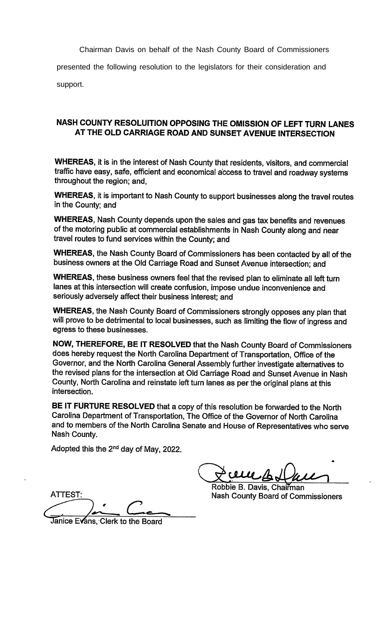Chairman Davis on behalf of the Nash County Board of Commissioners

presented the following resolution to the legislators for their consideration and

support.

### NASH COUNTY RESOLUITION OPPOSING THE OMISSION OF LEFT TURN LANES AT THE OLD CARRIAGE ROAD AND SUNSET AVENUE INTERSECTION

**WHEREAS, it is in the interest of Nash County that residents, visitors, and commercial** traffic have easy, safe, efficient and economical access to travel and roadway systems throughout the region; and,

WHEREAS, it is important to Nash County to support businesses along the travel routes in the County; and

WHEREAS, Nash County depends upon the sales and gas tax benefits and revenues of the motoring public at commercial establishments in Nash County along and near travel routes to fund services within the County; and

WHEREAS, the Nash County Board of Commissioners has been contacted by all of the business owners at the Old Carriage Road and Sunset Avenue intersection; and

WHEREAS, these business owners feel that the revised plan to eliminate all left turn lanes at this intersection will create confusion, impose undue inconvenience and seriously adversely affect their business interest; and

WHEREAS, the Nash County Board of Commissioners strongly opposes any plan that will prove to be detrimental to local businesses, such as limiting the flow of ingress and egress to these businesses.

NOW, THEREFORE, BE IT RESOLVED that the Nash County Board of Commissioners does hereby request the North Carolina Department of Transportation, Office of the Governor, and the North Carolina General Assembly further investigate alternatives to the revised plans for the intersection at Old Carriage Road and Sunset Avenue in Nash County, North Carolina and reinstate left turn lanes as per the original plans at this intersection.

BE IT FURTURE RESOLVED that a copy of this resolution be forwarded to the North Carolina Department of Transportation, The Office of the Governor of North Carolina and to members of the North Carolina Senate and House of Representatives who serve Nash County.

Adopted this the 2<sup>nd</sup> day of May, 2022.

**ATTEST:** 

Janice Evans, Clerk to the Board

Robbie B. Davis, Chairman Nash County Board of Commissioners